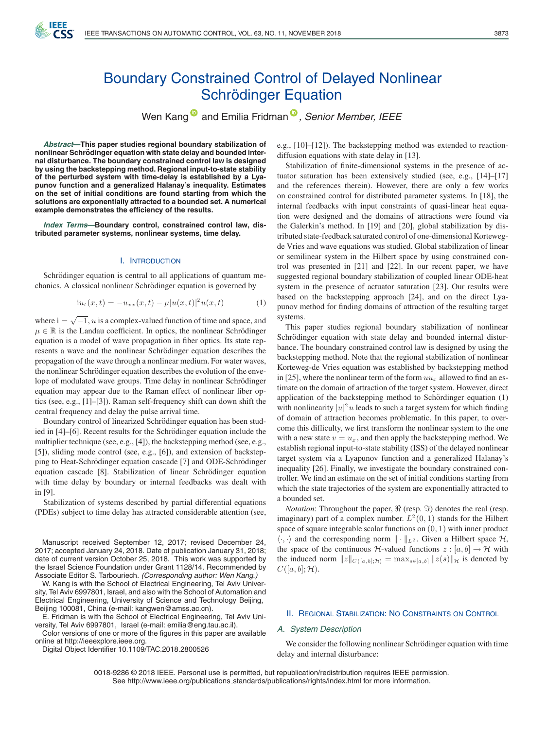

# Boundary Constrained Control of Delayed Nonlinear Schrödinger Equation

Wen Kang<sup>®</sup> and Emilia Fridman<sup>®</sup>[,](https://orcid.org/0000-0002-8773-9494) Senior Member, IEEE

*Abstract***—This paper studies regional boundary stabilization of**  $n$  nonlinear Schrödinger equation with state delay and bounded inter**nal disturbance. The boundary constrained control law is designed by using the backstepping method. Regional input-to-state stability of the perturbed system with time-delay is established by a Lyapunov function and a generalized Halanay's inequality. Estimates on the set of initial conditions are found starting from which the solutions are exponentially attracted to a bounded set. A numerical example demonstrates the efficiency of the results.**

*Index Terms***—Boundary control, constrained control law, distributed parameter systems, nonlinear systems, time delay.**

## I. INTRODUCTION

Schrödinger equation is central to all applications of quantum mechanics. A classical nonlinear Schrödinger equation is governed by

$$
iu_t(x,t) = -u_{xx}(x,t) - \mu |u(x,t)|^2 u(x,t)
$$
 (1)

where  $i = \sqrt{-1}$ , u is a complex-valued function of time and space, and  $\mu \in \mathbb{R}$  is the Landau coefficient. In optics, the nonlinear Schrödinger equation is a model of wave propagation in fiber optics. Its state represents a wave and the nonlinear Schrödinger equation describes the propagation of the wave through a nonlinear medium. For water waves, the nonlinear Schrödinger equation describes the evolution of the envelope of modulated wave groups. Time delay in nonlinear Schrödinger equation may appear due to the Raman effect of nonlinear fiber optics (see, e.g., [1]–[3]). Raman self-frequency shift can down shift the central frequency and delay the pulse arrival time.

Boundary control of linearized Schrödinger equation has been studied in  $[4]$ – $[6]$ . Recent results for the Schrödinger equation include the multiplier technique (see, e.g., [4]), the backstepping method (see, e.g., [5]), sliding mode control (see, e.g., [6]), and extension of backstepping to Heat-Schrödinger equation cascade [7] and ODE-Schrödinger equation cascade [8]. Stabilization of linear Schrödinger equation with time delay by boundary or internal feedbacks was dealt with in [9].

Stabilization of systems described by partial differential equations (PDEs) subject to time delay has attracted considerable attention (see,

Manuscript received September 12, 2017; revised December 24, 2017; accepted January 24, 2018. Date of publication January 31, 2018; date of current version October 25, 2018. This work was supported by the Israel Science Foundation under Grant 1128/14. Recommended by Associate Editor S. Tarbouriech. *(Corresponding author: Wen Kang.)*

W. Kang is with the School of Electrical Engineering, Tel Aviv University, Tel Aviv 6997801, Israel, and also with the School of Automation and Electrical Engineering, University of Science and Technology Beijing, Beijing 100081, China (e-mail: kangwen@amss.ac.cn).

E. Fridman is with the School of Electrical Engineering, Tel Aviv University, Tel Aviv 6997801, Israel (e-mail: emilia@eng.tau.ac.il).

Color versions of one or more of the figures in this paper are available online at http://ieeexplore.ieee.org.

Digital Object Identifier 10.1109/TAC.2018.2800526

e.g., [10]–[12]). The backstepping method was extended to reactiondiffusion equations with state delay in [13].

Stabilization of finite-dimensional systems in the presence of actuator saturation has been extensively studied (see, e.g., [14]–[17] and the references therein). However, there are only a few works on constrained control for distributed parameter systems. In [18], the internal feedbacks with input constraints of quasi-linear heat equation were designed and the domains of attractions were found via the Galerkin's method. In [19] and [20], global stabilization by distributed state-feedback saturated control of one-dimensional Kortewegde Vries and wave equations was studied. Global stabilization of linear or semilinear system in the Hilbert space by using constrained control was presented in [21] and [22]. In our recent paper, we have suggested regional boundary stabilization of coupled linear ODE-heat system in the presence of actuator saturation [23]. Our results were based on the backstepping approach [24], and on the direct Lyapunov method for finding domains of attraction of the resulting target systems.

This paper studies regional boundary stabilization of nonlinear Schrödinger equation with state delay and bounded internal disturbance. The boundary constrained control law is designed by using the backstepping method. Note that the regional stabilization of nonlinear Korteweg-de Vries equation was established by backstepping method in [25], where the nonlinear term of the form  $uu_x$  allowed to find an estimate on the domain of attraction of the target system. However, direct application of the backstepping method to Schördinger equation  $(1)$ with nonlinearity  $|u|^2u$  leads to such a target system for which finding of domain of attraction becomes problematic. In this paper, to overcome this difficulty, we first transform the nonlinear system to the one with a new state  $v = u_x$ , and then apply the backstepping method. We establish regional input-to-state stability (ISS) of the delayed nonlinear target system via a Lyapunov function and a generalized Halanay's inequality [26]. Finally, we investigate the boundary constrained controller. We find an estimate on the set of initial conditions starting from which the state trajectories of the system are exponentially attracted to a bounded set.

*Notation*: Throughout the paper,  $\Re$  (resp.  $\Im$ ) denotes the real (resp. imaginary) part of a complex number.  $L^2(0, 1)$  stands for the Hilbert space of square integrable scalar functions on  $(0, 1)$  with inner product  $\langle \cdot, \cdot \rangle$  and the corresponding norm  $\|\cdot\|_{L^2}$ . Given a Hilbert space  $\mathcal{H}$ , the space of the continuous H-valued functions  $z : [a, b] \to H$  with the induced norm  $||z||_{C([a,b];\mathcal{H})} = \max_{s\in[a,b]} ||z(s)||_{\mathcal{H}}$  is denoted by  $C([a, b]; \mathcal{H}).$ 

## II. REGIONAL STABILIZATION: NO CONSTRAINTS ON CONTROL

#### *A. System Description*

We consider the following nonlinear Schrödinger equation with time delay and internal disturbance:

0018-9286 © 2018 IEEE. Personal use is permitted, but republication/redistribution requires IEEE permission. See http://www.ieee.org/publications\_standards/publications/rights/index.html for more information.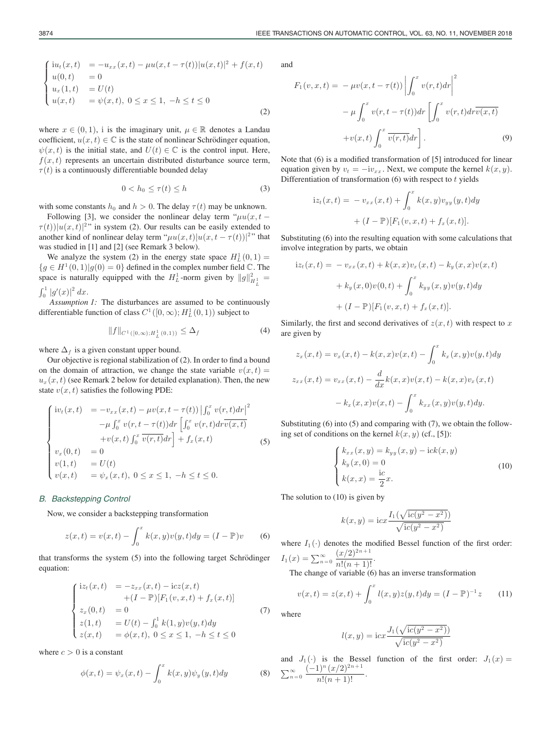where  $x \in (0, 1)$ , i is the imaginary unit,  $\mu \in \mathbb{R}$  denotes a Landau coefficient,  $u(x, t) \in \mathbb{C}$  is the state of nonlinear Schrödinger equation,  $\psi(x, t)$  is the initial state, and  $U(t) \in \mathbb{C}$  is the control input. Here,  $f(x, t)$  represents an uncertain distributed disturbance source term,  $\tau(t)$  is a continuously differentiable bounded delay

$$
0 < h_0 \le \tau(t) \le h \tag{3}
$$

with some constants  $h_0$  and  $h > 0$ . The delay  $\tau(t)$  may be unknown.

Following [3], we consider the nonlinear delay term " $\mu u(x, t \tau(t) ||u(x,t)|^{2}$ " in system (2). Our results can be easily extended to another kind of nonlinear delay term " $\mu u(x,t)|u(x, t - \tau(t))|^{2}$ " that was studied in [1] and [2] (see Remark 3 below).

We analyze the system (2) in the energy state space  $H<sub>L</sub><sup>1</sup>(0,1)$  =  ${g \in H^1(0,1)|g(0) = 0}$  defined in the complex number field  $\mathbb C$ . The space is naturally equipped with the  $H_L^1$ -norm given by  $||g||_{H_L^1}^2 =$  $\int_0^1 |g'(x)|^2 dx$ .

*Assumption 1:* The disturbances are assumed to be continuously differentiable function of class  $C^1([0,\infty); H^1_L(0,1))$  subject to

$$
||f||_{C^{1}([0,\infty);H^1_L(0,1))} \leq \Delta_f
$$
\n(4)

where  $\Delta_f$  is a given constant upper bound.

Our objective is regional stabilization of (2). In order to find a bound on the domain of attraction, we change the state variable  $v(x, t) =$  $u_x(x, t)$  (see Remark 2 below for detailed explanation). Then, the new state  $v(x, t)$  satisfies the following PDE:

$$
\begin{cases}\niv_t(x,t) &= -v_{xx}(x,t) - \mu v(x,t-\tau(t)) \left| \int_0^x v(r,t) dr \right|^2 \\
& -\mu \int_0^x v(r,t-\tau(t)) dr \left[ \int_0^x v(r,t) dr \overline{v(x,t)} \right. \\
& + v(x,t) \int_0^x \overline{v(r,t)} dr \right] + f_x(x,t) \\
v_x(0,t) &= 0 \\
v(1,t) &= U(t) \\
v(x,t) &= \psi_x(x,t), 0 \le x \le 1, -h \le t \le 0.\n\end{cases}
$$
\n(5)

#### *B. Backstepping Control*

Now, we consider a backstepping transformation

$$
z(x,t) = v(x,t) - \int_0^x k(x,y)v(y,t)dy = (I - \mathbb{P})v
$$
 (6)

that transforms the system  $(5)$  into the following target Schrödinger equation:

$$
\begin{cases}\niz_t(x,t) &= -z_{xx}(x,t) - icz(x,t) \\
+ (I - \mathbb{P})[F_1(v,x,t) + f_x(x,t)] \\
z_x(0,t) &= 0 \\
z(1,t) &= U(t) - \int_0^1 k(1,y)v(y,t)dy \\
z(x,t) &= \phi(x,t), 0 \le x \le 1, -h \le t \le 0\n\end{cases}
$$
\n(7)

where  $c > 0$  is a constant

$$
\phi(x,t) = \psi_x(x,t) - \int_0^x k(x,y)\psi_y(y,t)dy
$$
\n(8)

and

$$
F_1(v, x, t) = -\mu v(x, t - \tau(t)) \left| \int_0^x v(r, t) dr \right|^2
$$

$$
- \mu \int_0^x v(r, t - \tau(t)) dr \left[ \int_0^x v(r, t) dr \overline{v(x, t)} \right]
$$

$$
+ v(x, t) \int_0^x \overline{v(r, t)} dr \right].
$$
(9)

Note that (6) is a modified transformation of [5] introduced for linear equation given by  $v_t = -iv_{xx}$ . Next, we compute the kernel  $k(x, y)$ . Differentiation of transformation  $(6)$  with respect to t yields

$$
iz_{t}(x,t) = -v_{xx}(x,t) + \int_{0}^{x} k(x,y)v_{yy}(y,t)dy
$$

$$
+ (I - \mathbb{P})[F_{1}(v,x,t) + f_{x}(x,t)].
$$

Substituting (6) into the resulting equation with some calculations that involve integration by parts, we obtain

$$
iz_{t}(x,t) = -v_{xx}(x,t) + k(x,x)v_{x}(x,t) - k_{y}(x,x)v(x,t)
$$

$$
+ k_{y}(x,0)v(0,t) + \int_{0}^{x} k_{yy}(x,y)v(y,t)dy
$$

$$
+ (I - \mathbb{P})[F_{1}(v,x,t) + f_{x}(x,t)].
$$

Similarly, the first and second derivatives of  $z(x, t)$  with respect to x are given by

$$
z_x(x,t) = v_x(x,t) - k(x,x)v(x,t) - \int_0^x k_x(x,y)v(y,t)dy
$$
  

$$
z_{xx}(x,t) = v_{xx}(x,t) - \frac{d}{dx}k(x,x)v(x,t) - k(x,x)v_x(x,t)
$$
  

$$
- k_x(x,x)v(x,t) - \int_0^x k_{xx}(x,y)v(y,t)dy.
$$

Substituting (6) into (5) and comparing with (7), we obtain the following set of conditions on the kernel  $k(x, y)$  (cf., [5]):

$$
\begin{cases}\nk_{xx}(x,y) = k_{yy}(x,y) - \mathrm{i}ck(x,y) \\
k_y(x,0) = 0 \\
k(x,x) = \frac{\mathrm{i}c}{2}x.\n\end{cases}
$$
\n(10)

The solution to (10) is given by

$$
k(x, y) = \text{i}cx \frac{I_1(\sqrt{\text{i}c(y^2 - x^2)})}{\sqrt{\text{i}c(y^2 - x^2)}}
$$

where  $I_1(\cdot)$  denotes the modified Bessel function of the first order:  $I_1(x) = \sum_{n=0}^{\infty} \frac{(x/2)^{2n+1}}{n!(n+1)!}.$ 

The change of variable (6) has an inverse transformation

$$
v(x,t) = z(x,t) + \int_0^x l(x,y)z(y,t)dy = (I - \mathbb{P})^{-1}z \qquad (11)
$$

where

$$
l(x,y) = \text{i}cx \frac{J_1(\sqrt{\text{i}c(y^2 - x^2)})}{\sqrt{\text{i}c(y^2 - x^2)}}
$$

and  $J_1(\cdot)$  is the Bessel function of the first order:  $J_1(x) =$  $\sum_{n=0}^{\infty} \frac{(-1)^n (x/2)^{2n+1}}{n!(n+1)!}.$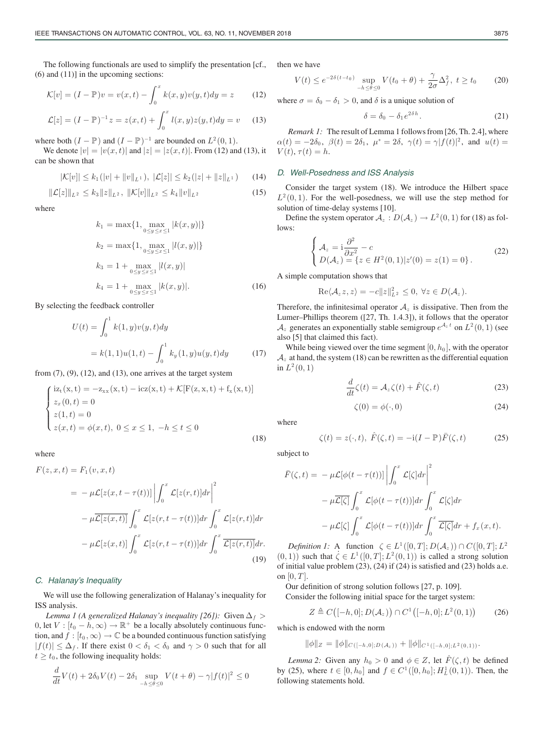The following functionals are used to simplify the presentation [cf., (6) and (11)] in the upcoming sections:

$$
\mathcal{K}[v] = (I - \mathbb{P})v = v(x, t) - \int_0^x k(x, y)v(y, t)dy = z \quad (12)
$$

$$
\mathcal{L}[z] = (I - \mathbb{P})^{-1} z = z(x, t) + \int_0^x l(x, y) z(y, t) dy = v \quad (13)
$$

where both  $(I - \mathbb{P})$  and  $(I - \mathbb{P})^{-1}$  are bounded on  $L^2(0, 1)$ .

We denote  $|v| = |v(x, t)|$  and  $|z| = |z(x, t)|$ . From (12) and (13), it can be shown that

$$
|\mathcal{K}[v]| \leq k_1(|v| + \|v\|_{L^1}), \ |\mathcal{L}[z]| \leq k_2(|z| + \|z\|_{L^1}) \qquad (14)
$$

$$
\|\mathcal{L}[z]\|_{L^2} \le k_3 \|z\|_{L^2}, \ \|\mathcal{K}[v]\|_{L^2} \le k_4 \|v\|_{L^2}
$$
\n(15)

where

$$
k_1 = \max\{1, \max_{0 \le y \le x \le 1} |k(x, y)|\}
$$
  
\n
$$
k_2 = \max\{1, \max_{0 \le y \le x \le 1} |l(x, y)|\}
$$
  
\n
$$
k_3 = 1 + \max_{0 \le y \le x \le 1} |l(x, y)|
$$
  
\n
$$
k_4 = 1 + \max_{0 \le y \le x \le 1} |k(x, y)|.
$$
 (16)

By selecting the feedback controller

$$
U(t) = \int_0^1 k(1, y)v(y, t)dy
$$
  
=  $k(1, 1)u(1, t) - \int_0^1 k_y(1, y)u(y, t)dy$  (17)

from  $(7)$ ,  $(9)$ ,  $(12)$ , and  $(13)$ , one arrives at the target system

$$
\begin{cases}\n\text{iz}_{t}(x,t) = -z_{xx}(x,t) - \text{icz}(x,t) + \mathcal{K}[F(z,x,t) + f_{x}(x,t)] \\
z_{x}(0,t) = 0 \\
z(1,t) = 0 \\
z(x,t) = \phi(x,t), \ 0 \le x \le 1, \ -h \le t \le 0\n\end{cases}
$$
\n(18)

where

$$
F(z, x, t) = F_1(v, x, t)
$$
  
=  $-\mu \mathcal{L}[z(x, t - \tau(t))]\left|\int_0^x \mathcal{L}[z(r, t)]dr\right|^2$   
 $-\mu \overline{\mathcal{L}[z(x, t)]}\int_0^x \mathcal{L}[z(r, t - \tau(t))]dr \int_0^x \mathcal{L}[z(r, t)]dr$   
 $-\mu \mathcal{L}[z(x, t)]\int_0^x \mathcal{L}[z(r, t - \tau(t))]dr \int_0^x \overline{\mathcal{L}[z(r, t)]}dr.$  (19)

## *C. Halanay's Inequality*

We will use the following generalization of Halanay's inequality for ISS analysis.

*Lemma 1 (A generalized Halanay's inequality [26]):* Given  $\Delta_f$  > 0, let  $V : [t_0 - h, \infty) \to \mathbb{R}^+$  be a locally absolutely continuous function, and  $f : [t_0, \infty) \to \mathbb{C}$  be a bounded continuous function satisfying  $|f(t)| \leq \Delta_f$ . If there exist  $0 < \delta_1 < \delta_0$  and  $\gamma > 0$  such that for all  $t \geq t_0$ , the following inequality holds:

$$
\frac{d}{dt}V(t) + 2\delta_0 V(t) - 2\delta_1 \sup_{-h \le \theta \le 0} V(t + \theta) - \gamma |f(t)|^2 \le 0
$$

then we have

$$
V(t) \le e^{-2\delta(t-t_0)} \sup_{-h \le \theta \le 0} V(t_0 + \theta) + \frac{\gamma}{2\sigma} \Delta_f^2, \ t \ge t_0 \qquad (20)
$$

where  $\sigma = \delta_0 - \delta_1 > 0$ , and  $\delta$  is a unique solution of

$$
\delta = \delta_0 - \delta_1 e^{2\delta h}.\tag{21}
$$

*Remark 1:* The result of Lemma 1 follows from [26, Th. 2.4], where  $\alpha(t) = -2\delta_0$ ,  $\beta(t) = 2\delta_1$ ,  $\mu^* = 2\delta$ ,  $\gamma(t) = \gamma |f(t)|^2$ , and  $u(t) =$  $V(t), \tau(t) = h.$ 

# *D. Well-Posedness and ISS Analysis*

Consider the target system (18). We introduce the Hilbert space  $L^2(0,1)$ . For the well-posedness, we will use the step method for solution of time-delay systems [10].

Define the system operator  $A_z : D(A_z) \to L^2(0,1)$  for (18) as follows:

$$
\begin{cases}\n\mathcal{A}_z = \mathbf{i}\frac{\partial^2}{\partial x^2} - c \\
D(\mathcal{A}_z) = \{z \in H^2(0,1)|z'(0) = z(1) = 0\}.\n\end{cases}
$$
\n(22)

A simple computation shows that

$$
\operatorname{Re}\langle \mathcal{A}_z z, z \rangle = -c \|z\|_{L^2}^2 \leq 0, \ \forall z \in D(\mathcal{A}_z).
$$

Therefore, the infinitesimal operator  $A_z$  is dissipative. Then from the Lumer–Phillips theorem ([27, Th. 1.4.3]), it follows that the operator  $\mathcal{A}_z$  generates an exponentially stable semigroup  $e^{\mathcal{A}_z t}$  on  $L^2(0,1)$  (see also [5] that claimed this fact).

While being viewed over the time segment  $[0, h_0]$ , with the operator  $A_z$  at hand, the system (18) can be rewritten as the differential equation in  $L^2(0,1)$ 

$$
\frac{d}{dt}\zeta(t) = \mathcal{A}_z\zeta(t) + \hat{F}(\zeta, t)
$$
\n(23)

$$
\zeta(0) = \phi(\cdot, 0) \tag{24}
$$

 $\zeta(t) = z(\cdot, t), \ \hat{F}(\zeta, t) = -i(I - \mathbb{P})\bar{F}(\zeta, t)$  (25)

where

subject to

$$
\bar{F}(\zeta, t) = -\mu \mathcal{L}[\phi(t - \tau(t))] \left| \int_0^x \mathcal{L}[\zeta] dr \right|^2
$$
  

$$
- \mu \overline{\mathcal{L}[\zeta]} \int_0^x \mathcal{L}[\phi(t - \tau(t))] dr \int_0^x \mathcal{L}[\zeta] dr
$$
  

$$
- \mu \mathcal{L}[\zeta] \int_0^x \mathcal{L}[\phi(t - \tau(t))] dr \int_0^x \overline{\mathcal{L}[\zeta]} dr + f_x(x, t).
$$

*Definition 1:* A function  $\zeta \in L^1([0,T]; D(\mathcal{A}_z)) \cap C([0,T]; L^2)$  $(0, 1)$ ) such that  $\dot{\zeta} \in L^1([0, T]; L^2(0, 1))$  is called a strong solution of initial value problem (23), (24) if (24) is satisfied and (23) holds a.e. on  $[0, T]$ .

Our definition of strong solution follows [27, p. 109].

Consider the following initial space for the target system:

$$
Z \triangleq C([h, 0]; D(\mathcal{A}_z)) \cap C^1([h, 0]; L^2(0, 1))
$$
 (26)

which is endowed with the norm

 $\|\phi\|_Z = \|\phi\|_{C\left([-h,0];D(\mathcal{A}_z)\right)} + \|\phi\|_{C^1([-h,0];L^2(0,1))}.$ 

*Lemma 2:* Given any  $h_0 > 0$  and  $\phi \in Z$ , let  $\hat{F}(\zeta, t)$  be defined by (25), where  $t \in [0, h_0]$  and  $f \in C^1([0, h_0]; H^1_L(0, 1))$ . Then, the following statements hold.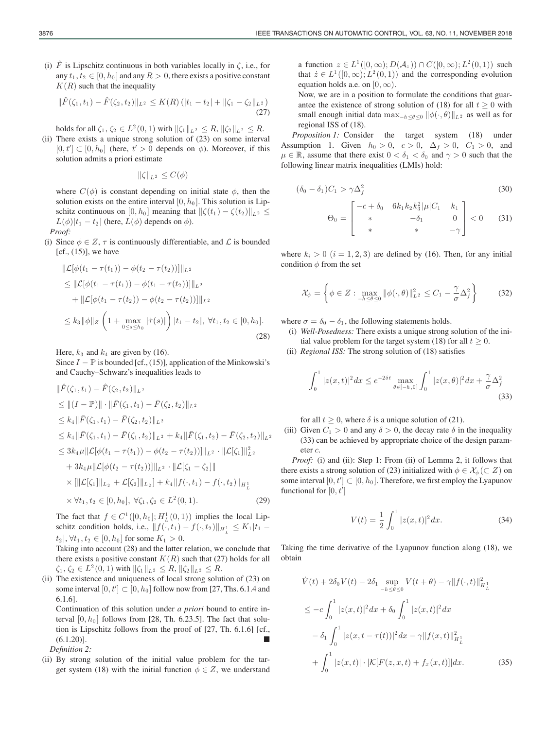$$
\|\hat{F}(\zeta_1,t_1)-\hat{F}(\zeta_2,t_2)\|_{L^2}\leq K(R)\left(|t_1-t_2|+\|\zeta_1-\zeta_2\|_{L^2}\right)
$$
\n(27)

holds for all  $\zeta_1, \zeta_2 \in L^2(0,1)$  with  $\|\zeta_1\|_{L^2} \le R$ ,  $\|\zeta_2\|_{L^2} \le R$ .

(ii) There exists a unique strong solution of (23) on some interval  $[0, t'] \subset [0, h_0]$  (here,  $t' > 0$  depends on  $\phi$ ). Moreover, if this solution admits a priori estimate

 $\|\zeta\|_{L^2} \leq C(\phi)$ 

where  $C(\phi)$  is constant depending on initial state  $\phi$ , then the solution exists on the entire interval  $[0, h_0]$ . This solution is Lipschitz continuous on  $[0, h_0]$  meaning that  $\|\zeta(t_1) - \zeta(t_2)\|_{L^2} \leq$  $L(\phi)|t_1 - t_2|$  (here,  $L(\phi)$  depends on  $\phi$ ).

*Proof:*

(i) Since  $\phi \in Z$ ,  $\tau$  is continuously differentiable, and  $\mathcal L$  is bounded  $[cf., (15)]$ , we have

$$
\|\mathcal{L}[\phi(t_1 - \tau(t_1)) - \phi(t_2 - \tau(t_2))]\|_{L^2} \n\leq \|\mathcal{L}[\phi(t_1 - \tau(t_1)) - \phi(t_1 - \tau(t_2))]\|_{L^2} \n+ \|\mathcal{L}[\phi(t_1 - \tau(t_2)) - \phi(t_2 - \tau(t_2))]\|_{L^2} \n\leq k_3 \|\phi\|_Z \left(1 + \max_{0 \leq s \leq h_0} |\dot{\tau}(s)|\right) |t_1 - t_2|, \forall t_1, t_2 \in [0, h_0].
$$
\n(28)

Here,  $k_3$  and  $k_4$  are given by (16).

Since  $I - \mathbb{P}$  is bounded [cf., (15)], application of the Minkowski's and Cauchy–Schwarz's inequalities leads to

$$
\|\hat{F}(\zeta_1, t_1) - \hat{F}(\zeta_2, t_2)\|_{L^2} \n\leq \|(I - \mathbb{P})\| \cdot \|\bar{F}(\zeta_1, t_1) - \bar{F}(\zeta_2, t_2)\|_{L^2} \n\leq k_4 \|\bar{F}(\zeta_1, t_1) - \bar{F}(\zeta_2, t_2)\|_{L^2} \n\leq k_4 \|\bar{F}(\zeta_1, t_1) - \bar{F}(\zeta_1, t_2)\|_{L^2} + k_4 \|\bar{F}(\zeta_1, t_2) - \bar{F}(\zeta_2, t_2)\|_{L^2} \n\leq 3k_4 \mu \|\mathcal{L}[\phi(t_1 - \tau(t_1)) - \phi(t_2 - \tau(t_2))]\|_{L^2} \cdot \|\mathcal{L}[\zeta_1]\|_{L^2}^2 \n+ 3k_4 \mu \|\mathcal{L}[\phi(t_2 - \tau(t_2))]\|_{L^2} \cdot \|\mathcal{L}[\zeta_1 - \zeta_2]\| \n\times [\|\mathcal{L}[\zeta_1]\|_{L_2} + \mathcal{L}[\zeta_2]\|_{L_2}] + k_4 \|\mathcal{f}(\cdot, t_1) - \mathcal{f}(\cdot, t_2)\|_{H^1_L} \n\times \forall t_1, t_2 \in [0, h_0], \forall \zeta_1, \zeta_2 \in L^2(0, 1).
$$
\n(29)

The fact that  $f \in C^1([0, h_0]; H^1_L(0, 1))$  implies the local Lipschitz condition holds, i.e.,  $||f(\cdot, t_1) - f(\cdot, t_2)||_{H^1_L} \leq K_1 |t_1$  $t_2$ ,  $\forall t_1, t_2 \in [0, h_0]$  for some  $K_1 > 0$ .

Taking into account (28) and the latter relation, we conclude that there exists a positive constant  $K(R)$  such that (27) holds for all  $\zeta_1, \zeta_2 \in L^2(0,1)$  with  $\|\zeta_1\|_{L^2} \leq R$ ,  $\|\zeta_2\|_{L^2} \leq R$ .

(ii) The existence and uniqueness of local strong solution of (23) on some interval  $[0, t'] \subset [0, h_0]$  follow now from [27, Ths. 6.1.4 and 6.1.6].

Continuation of this solution under *a priori* bound to entire interval  $[0, h_0]$  follows from [28, Th. 6.23.5]. The fact that solution is Lipschitz follows from the proof of [27, Th. 6.1.6] [cf.,  $(6.1.20)$ ]. *Definition 2:*

(ii) By strong solution of the initial value problem for the target system (18) with the initial function  $\phi \in Z$ , we understand a function  $z \in L^1([0,\infty); D(\mathcal{A}_z)) \cap C([0,\infty); L^2(0,1))$  such that  $\dot{z} \in L^1([0,\infty); L^2(0,1))$  and the corresponding evolution equation holds a.e. on  $[0, \infty)$ .

Now, we are in a position to formulate the conditions that guarantee the existence of strong solution of (18) for all  $t \geq 0$  with small enough initial data max<sub>−h≤θ≤0</sub>  $\|\phi(\cdot,\theta)\|_{L^2}$  as well as for regional ISS of (18).

*Proposition 1:* Consider the target system (18) under Assumption 1. Given  $h_0 > 0$ ,  $c > 0$ ,  $\Delta_f > 0$ ,  $C_1 > 0$ , and  $\mu \in \mathbb{R}$ , assume that there exist  $0 < \delta_1 < \delta_0$  and  $\gamma > 0$  such that the following linear matrix inequalities (LMIs) hold:

$$
(\delta_0 - \delta_1)C_1 > \gamma \Delta_f^2 \tag{30}
$$

$$
\Theta_0 = \begin{bmatrix} -c + \delta_0 & 6k_1k_2k_3^2|\mu|C_1 & k_1 \\ * & -\delta_1 & 0 \\ * & * & -\gamma \end{bmatrix} < 0 \quad (31)
$$

where  $k_i > 0$   $(i = 1, 2, 3)$  are defined by (16). Then, for any initial condition  $\phi$  from the set

$$
\mathcal{X}_{\phi} = \left\{ \phi \in Z : \max_{-h \le \theta \le 0} \|\phi(\cdot,\theta)\|_{L^2}^2 \le C_1 - \frac{\gamma}{\sigma} \Delta_f^2 \right\} \tag{32}
$$

where  $\sigma = \delta_0 - \delta_1$ , the following statements holds.

- (i) *Well-Posedness:* There exists a unique strong solution of the initial value problem for the target system (18) for all  $t \geq 0$ .
- (ii) *Regional ISS:* The strong solution of (18) satisfies

$$
\int_0^1 |z(x,t)|^2 dx \le e^{-2\delta t} \max_{\theta \in [-h,0]} \int_0^1 |z(x,\theta)|^2 dx + \frac{\gamma}{\sigma} \Delta_f^2
$$
\n(33)

for all  $t \geq 0$ , where  $\delta$  is a unique solution of (21).

(iii) Given  $C_1 > 0$  and any  $\delta > 0$ , the decay rate  $\delta$  in the inequality (33) can be achieved by appropriate choice of the design parameter c.

*Proof:* (i) and (ii): Step 1: From (ii) of Lemma 2, it follows that there exists a strong solution of (23) initialized with  $\phi \in \mathcal{X}_{\phi}(\subset Z)$  on some interval  $[0, t'] \subset [0, h_0]$ . Therefore, we first employ the Lyapunov functional for  $[0, t']$ 

$$
V(t) = \frac{1}{2} \int_0^1 |z(x, t)|^2 dx.
$$
 (34)

Taking the time derivative of the Lyapunov function along (18), we obtain

$$
\dot{V}(t) + 2\delta_0 V(t) - 2\delta_1 \sup_{-h \le \theta \le 0} V(t + \theta) - \gamma ||f(\cdot, t)||^2_{H^1_L}
$$
\n
$$
\le -c \int_0^1 |z(x, t)|^2 dx + \delta_0 \int_0^1 |z(x, t)|^2 dx
$$
\n
$$
- \delta_1 \int_0^1 |z(x, t - \tau(t))|^2 dx - \gamma ||f(x, t)||^2_{H^1_L}
$$
\n
$$
+ \int_0^1 |z(x, t)| \cdot |\mathcal{K}[F(z, x, t) + f_x(x, t)]| dx. \tag{35}
$$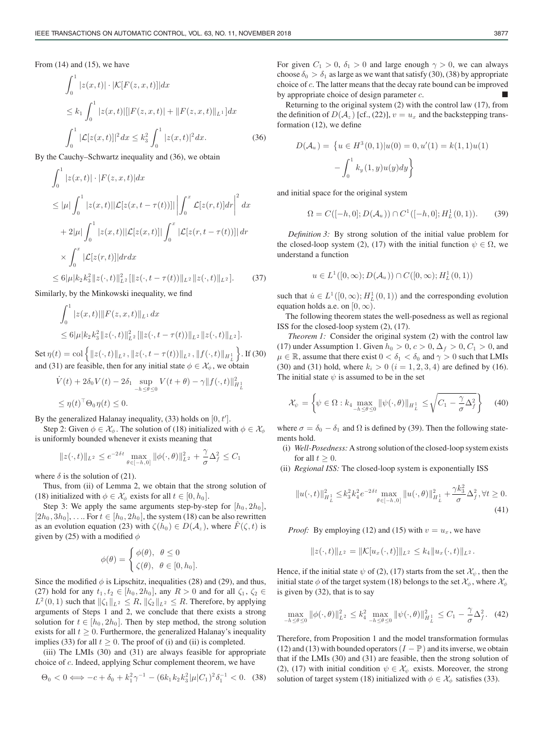From  $(14)$  and  $(15)$ , we have

$$
\int_0^1 |z(x,t)| \cdot |\mathcal{K}[F(z,x,t)]| dx
$$
  
\n
$$
\leq k_1 \int_0^1 |z(x,t)|[|F(z,x,t)| + ||F(z,x,t)||_{L^1}] dx
$$
  
\n
$$
\int_0^1 |\mathcal{L}[z(x,t)]|^2 dx \leq k_3^2 \int_0^1 |z(x,t)|^2 dx.
$$
 (36)

By the Cauchy–Schwartz inequality and (36), we obtain

$$
\int_{0}^{1} |z(x,t)| \cdot |F(z,x,t)| dx
$$
\n
$$
\leq |\mu| \int_{0}^{1} |z(x,t)| |\mathcal{L}[z(x,t-\tau(t))]| \left| \int_{0}^{x} \mathcal{L}[z(r,t)] dr \right|^{2} dx
$$
\n
$$
+ 2|\mu| \int_{0}^{1} |z(x,t)| |\mathcal{L}[z(x,t)]| \int_{0}^{x} |\mathcal{L}[z(r,t-\tau(t))]| dr
$$
\n
$$
\times \int_{0}^{x} |\mathcal{L}[z(r,t)]| dr dx
$$
\n
$$
\leq 6|\mu| k_{2} k_{3}^{2} \|z(\cdot,t)|_{L^{2}}^{2} [||z(\cdot,t-\tau(t))||_{L^{2}} ||z(\cdot,t)||_{L^{2}}]. \qquad (37)
$$

Similarly, by the Minkowski inequality, we find

$$
\int_0^1 |z(x,t)| ||F(z,x,t)||_{L^1} dx
$$
  
\n
$$
\leq 6|\mu| k_2 k_3^2 ||z(\cdot,t)||_{L^2}^2 [||z(\cdot,t-\tau(t))||_{L^2} ||z(\cdot,t)||_{L^2}].
$$

Set  $\eta(t) = \text{col}\left\{ ||z(\cdot, t)||_{L^2}, ||z(\cdot, t - \tau(t))||_{L^2}, ||f(\cdot, t)||_{H_L^1} \right\}$ . If (30) and (31) are feasible, then for any initial state  $\phi \in \mathcal{X}_{\phi}$ , we obtain

$$
\dot{V}(t) + 2\delta_0 V(t) - 2\delta_1 \sup_{-h \le \theta \le 0} V(t + \theta) - \gamma ||f(\cdot, t)||^2_{H^1_L}
$$
  

$$
\le \eta(t)^\top \Theta_0 \eta(t) \le 0.
$$

By the generalized Halanay inequality, (33) holds on  $[0, t']$ .

Step 2: Given  $\phi \in \mathcal{X}_{\phi}$ . The solution of (18) initialized with  $\phi \in \mathcal{X}_{\phi}$ is uniformly bounded whenever it exists meaning that

$$
||z(\cdot,t)||_{L^2} \le e^{-2\delta t} \max_{\theta \in [-h,0]} ||\phi(\cdot,\theta)||_{L^2}^2 + \frac{\gamma}{\sigma} \Delta_f^2 \le C_1
$$

where  $\delta$  is the solution of (21).

Thus, from (ii) of Lemma 2, we obtain that the strong solution of (18) initialized with  $\phi \in \mathcal{X}_{\phi}$  exists for all  $t \in [0, h_0]$ .

Step 3: We apply the same arguments step-by-step for  $[h_0, 2h_0]$ ,  $[2h_0, 3h_0]$ , .... For  $t \in [h_0, 2h_0]$ , the system (18) can be also rewritten as an evolution equation (23) with  $\zeta(h_0) \in D(\mathcal{A}_z)$ , where  $F(\zeta, t)$  is given by (25) with a modified  $\phi$ 

$$
\phi(\theta) = \begin{cases} \phi(\theta), & \theta \le 0 \\ \zeta(\theta), & \theta \in [0, h_0]. \end{cases}
$$

Since the modified  $\phi$  is Lipschitz, inequalities (28) and (29), and thus, (27) hold for any  $t_1, t_2 \in [h_0, 2h_0]$ , any  $R > 0$  and for all  $\zeta_1, \zeta_2 \in$  $L^2(0,1)$  such that  $\|\zeta_1\|_{L^2} \leq R$ ,  $\|\zeta_2\|_{L^2} \leq R$ . Therefore, by applying arguments of Steps 1 and 2, we conclude that there exists a strong solution for  $t \in [h_0, 2h_0]$ . Then by step method, the strong solution exists for all  $t \geq 0$ . Furthermore, the generalized Halanay's inequality implies (33) for all  $t \geq 0$ . The proof of (i) and (ii) is completed.

(iii) The LMIs (30) and (31) are always feasible for appropriate choice of c. Indeed, applying Schur complement theorem, we have

$$
\Theta_0 < 0 \Longleftrightarrow -c + \delta_0 + k_1^2 \gamma^{-1} - (6k_1 k_2 k_3^2 |\mu| C_1)^2 \delta_1^{-1} < 0. \tag{38}
$$

For given  $C_1 > 0$ ,  $\delta_1 > 0$  and large enough  $\gamma > 0$ , we can always choose  $\delta_0 > \delta_1$  as large as we want that satisfy (30), (38) by appropriate choice of c. The latter means that the decay rate bound can be improved by appropriate choice of design parameter  $c$ .

Returning to the original system (2) with the control law (17), from the definition of  $D(A_z)$  [cf., (22)],  $v = u_x$  and the backstepping transformation (12), we define

$$
D(\mathcal{A}_u) = \left\{ u \in H^3(0,1) | u(0) = 0, u'(1) = k(1,1)u(1) - \int_0^1 k_y(1,y)u(y)dy \right\}
$$

and initial space for the original system

$$
\Omega = C([-h, 0]; D(\mathcal{A}_u)) \cap C^1([-h, 0]; H^1_L(0, 1)).
$$
 (39)

*Definition 3:* By strong solution of the initial value problem for the closed-loop system (2), (17) with the initial function  $\psi \in \Omega$ , we understand a function

$$
u \in L^1([0,\infty); D(\mathcal{A}_u)) \cap C([0,\infty); H^1_L(0,1))
$$

such that  $\dot{u} \in L^1([0,\infty); H^1_L(0,1))$  and the corresponding evolution equation holds a.e. on  $[0, \infty)$ .

The following theorem states the well-posedness as well as regional ISS for the closed-loop system (2), (17).

*Theorem 1:* Consider the original system (2) with the control law (17) under Assumption 1. Given  $h_0 > 0$ ,  $c > 0$ ,  $\Delta_f > 0$ ,  $C_1 > 0$ , and  $\mu \in \mathbb{R}$ , assume that there exist  $0 < \delta_1 < \delta_0$  and  $\gamma > 0$  such that LMIs (30) and (31) hold, where  $k_i > 0$   $(i = 1, 2, 3, 4)$  are defined by (16). The initial state  $\psi$  is assumed to be in the set

$$
\mathcal{X}_{\psi} = \left\{ \psi \in \Omega : k_4 \max_{-h \le \theta \le 0} \|\psi(\cdot,\theta)\|_{H^1_L} \le \sqrt{C_1 - \frac{\gamma}{\sigma} \Delta_f^2} \right\} \tag{40}
$$

where  $\sigma = \delta_0 - \delta_1$  and  $\Omega$  is defined by (39). Then the following statements hold.

- (i) *Well-Posedness:* A strong solution of the closed-loop system exists for all  $t \geq 0$ .
- (ii) *Regional ISS:* The closed-loop system is exponentially ISS

$$
||u(\cdot,t)||_{H_{L}^{1}}^{2} \leq k_{3}^{2} k_{4}^{2} e^{-2\delta t} \max_{\theta \in [-h,0]} ||u(\cdot,\theta)||_{H_{L}^{1}}^{2} + \frac{\gamma k_{3}^{2}}{\sigma} \Delta_{f}^{2}, \forall t \geq 0.
$$
\n(41)

*Proof:* By employing (12) and (15) with  $v = u_x$ , we have

$$
||z(\cdot,t)||_{L^2} = ||\mathcal{K}[u_x(\cdot,t)]||_{L^2} \le k_4 ||u_x(\cdot,t)||_{L^2}.
$$

Hence, if the initial state  $\psi$  of (2), (17) starts from the set  $\mathcal{X}_{\psi}$ , then the initial state  $\phi$  of the target system (18) belongs to the set  $\mathcal{X}_{\phi}$ , where  $\mathcal{X}_{\phi}$ is given by (32), that is to say

$$
\max_{-h \le \theta \le 0} \|\phi(\cdot,\theta)\|_{L^2}^2 \le k_4^2 \max_{-h \le \theta \le 0} \|\psi(\cdot,\theta)\|_{H^1_L}^2 \le C_1 - \frac{\gamma}{\sigma} \Delta_f^2. \tag{42}
$$

Therefore, from Proposition 1 and the model transformation formulas (12) and (13) with bounded operators  $(I - P)$  and its inverse, we obtain that if the LMIs (30) and (31) are feasible, then the strong solution of (2), (17) with initial condition  $\psi \in \mathcal{X}_{\psi}$  exists. Moreover, the strong solution of target system (18) initialized with  $\phi \in \mathcal{X}_{\phi}$  satisfies (33).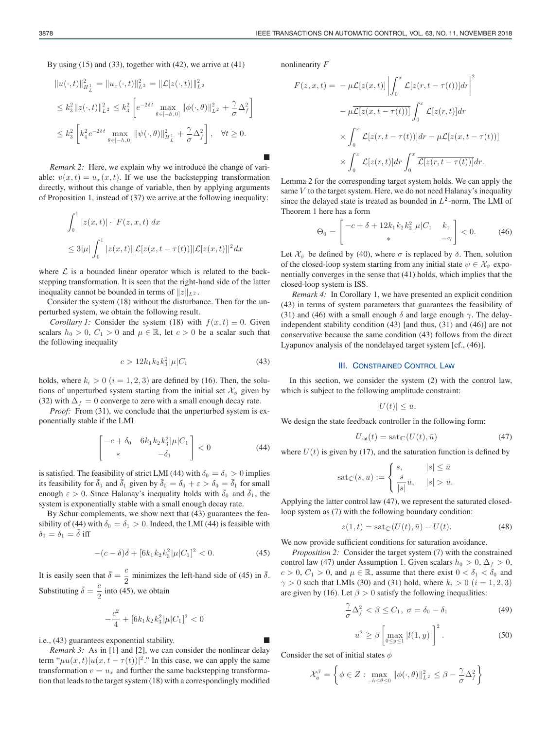By using (15) and (33), together with (42), we arrive at (41)

$$
\|u(\cdot,t)\|_{H^1_L}^2 = \|u_x(\cdot,t)\|_{L^2}^2 = \|\mathcal{L}[z(\cdot,t)]\|_{L^2}^2
$$
  
\n
$$
\leq k_3^2 \|z(\cdot,t)\|_{L^2}^2 \leq k_3^2 \left[e^{-2\delta t} \max_{\theta \in [-h,0]} \|\phi(\cdot,\theta)\|_{L^2}^2 + \frac{\gamma}{\sigma} \Delta_f^2\right]
$$
  
\n
$$
\leq k_3^2 \left[k_4^2 e^{-2\delta t} \max_{\theta \in [-h,0]} \|\psi(\cdot,\theta)\|_{H^1_L}^2 + \frac{\gamma}{\sigma} \Delta_f^2\right], \quad \forall t \geq 0.
$$

*Remark 2:* Here, we explain why we introduce the change of variable:  $v(x, t) = u_x(x, t)$ . If we use the backstepping transformation directly, without this change of variable, then by applying arguments of Proposition 1, instead of (37) we arrive at the following inequality:

$$
\int_0^1 |z(x,t)| \cdot |F(z,x,t)| dx
$$
  
\n
$$
\leq 3|\mu| \int_0^1 |z(x,t)| |\mathcal{L}[z(x,t-\tau(t))]| \mathcal{L}[z(x,t)]|^2 dx
$$

where  $\mathcal L$  is a bounded linear operator which is related to the backstepping transformation. It is seen that the right-hand side of the latter inequality cannot be bounded in terms of  $||z||_{L^2}$ .

Consider the system (18) without the disturbance. Then for the unperturbed system, we obtain the following result.

*Corollary 1:* Consider the system (18) with  $f(x, t) \equiv 0$ . Given scalars  $h_0 > 0$ ,  $C_1 > 0$  and  $\mu \in \mathbb{R}$ , let  $c > 0$  be a scalar such that the following inequality

$$
c > 12k_1k_2k_3^2|\mu|C_1 \tag{43}
$$

holds, where  $k_i > 0$   $(i = 1, 2, 3)$  are defined by (16). Then, the solutions of unperturbed system starting from the initial set  $\mathcal{X}_{\phi}$  given by (32) with  $\Delta_f = 0$  converge to zero with a small enough decay rate.

*Proof:* From (31), we conclude that the unperturbed system is exponentially stable if the LMI

$$
\begin{bmatrix} -c + \delta_0 & 6k_1k_2k_3^2|\mu|C_1\\ * & -\delta_1 \end{bmatrix} < 0
$$
 (44)

is satisfied. The feasibility of strict LMI (44) with  $\delta_0 = \delta_1 > 0$  implies its feasibility for  $\bar{\delta}_0$  and  $\bar{\delta}_1$  given by  $\bar{\delta}_0 = \delta_0 + \varepsilon > \delta_0 = \bar{\delta}_1$  for small enough  $\varepsilon > 0$ . Since Halanay's inequality holds with  $\overline{\delta}_0$  and  $\overline{\delta}_1$ , the system is exponentially stable with a small enough decay rate.

By Schur complements, we show next that (43) guarantees the feasibility of (44) with  $\delta_0 = \delta_1 > 0$ . Indeed, the LMI (44) is feasible with  $\delta_0 = \delta_1 = \delta$  iff

$$
-(c-\bar{\delta})\bar{\delta} + [6k_1k_2k_3^2|\mu|C_1]^2 < 0.
$$
 (45)

It is easily seen that  $\bar{\delta} = \frac{c}{2}$  minimizes the left-hand side of (45) in  $\bar{\delta}$ . Substituting  $\bar{\delta} = \frac{c}{2}$  into (45), we obtain

$$
-\frac{c^2}{4} + [6k_1k_2k_3^2|\mu|C_1]^2 < 0
$$

i.e., (43) guarantees exponential stability.

*Remark 3:* As in [1] and [2], we can consider the nonlinear delay term " $\mu u(x,t)|u(x,t-\tau(t))|^{2}$ ." In this case, we can apply the same transformation  $v = u_x$  and further the same backstepping transformation that leads to the target system (18) with a correspondingly modified nonlinearity F

щ

$$
F(z, x, t) = -\mu \mathcal{L}[z(x, t)] \left| \int_0^x \mathcal{L}[z(r, t - \tau(t))] dr \right|^2
$$

$$
- \mu \overline{\mathcal{L}[z(x, t - \tau(t))] } \int_0^x \mathcal{L}[z(r, t)] dr
$$

$$
\times \int_0^x \mathcal{L}[z(r, t - \tau(t))] dr - \mu \mathcal{L}[z(x, t - \tau(t))]
$$

$$
\times \int_0^x \mathcal{L}[z(r, t)] dr \int_0^x \overline{\mathcal{L}[z(r, t - \tau(t))] } dr.
$$

Lemma 2 for the corresponding target system holds. We can apply the same  $V$  to the target system. Here, we do not need Halanay's inequality since the delayed state is treated as bounded in  $L^2$ -norm. The LMI of Theorem 1 here has a form

$$
\Theta_0 = \begin{bmatrix} -c + \delta + 12k_1k_2k_3^2|\mu|C_1 & k_1 \\ * & -\gamma \end{bmatrix} < 0.
$$
 (46)

Let  $\mathcal{X}_{\psi}$  be defined by (40), where  $\sigma$  is replaced by  $\delta$ . Then, solution of the closed-loop system starting from any initial state  $\psi \in \mathcal{X}_{\psi}$  exponentially converges in the sense that (41) holds, which implies that the closed-loop system is ISS.

*Remark 4:* In Corollary 1, we have presented an explicit condition (43) in terms of system parameters that guarantees the feasibility of (31) and (46) with a small enough  $\delta$  and large enough  $\gamma$ . The delayindependent stability condition (43) [and thus, (31) and (46)] are not conservative because the same condition (43) follows from the direct Lyapunov analysis of the nondelayed target system [cf., (46)].

### III. CONSTRAINED CONTROL LAW

In this section, we consider the system (2) with the control law, which is subject to the following amplitude constraint:

$$
|U(t)| \leq \bar{u}.
$$

We design the state feedback controller in the following form:

$$
U_{\text{sat}}(t) = \text{sat}_{\mathbb{C}}(U(t), \bar{u})\tag{47}
$$

where  $U(t)$  is given by (17), and the saturation function is defined by

$$
sat_{\mathbb{C}}(s,\bar{u}):=\begin{cases} s, & |s| \leq \bar{u} \\ \frac{s}{|s|}\bar{u}, & |s| > \bar{u}. \end{cases}
$$

Applying the latter control law (47), we represent the saturated closedloop system as (7) with the following boundary condition:

$$
z(1,t) = \operatorname{sat}_{\mathbb{C}}(U(t),\bar{u}) - U(t). \tag{48}
$$

We now provide sufficient conditions for saturation avoidance.

*Proposition 2:* Consider the target system (7) with the constrained control law (47) under Assumption 1. Given scalars  $h_0 > 0$ ,  $\Delta_f > 0$ ,  $c > 0$ ,  $C_1 > 0$ , and  $\mu \in \mathbb{R}$ , assume that there exist  $0 < \delta_1 < \delta_0$  and  $\gamma > 0$  such that LMIs (30) and (31) hold, where  $k_i > 0$  ( $i = 1, 2, 3$ ) are given by (16). Let  $\beta > 0$  satisfy the following inequalities:

$$
\frac{\gamma}{\sigma} \Delta_f^2 < \beta \le C_1, \ \sigma = \delta_0 - \delta_1 \tag{49}
$$

$$
\bar{u}^2 \ge \beta \left[ \max_{0 \le y \le 1} |l(1, y)| \right]^2.
$$
 (50)

Consider the set of initial states  $\phi$ 

$$
\mathcal{X}_{\phi}^{\beta} = \left\{ \phi \in Z : \max_{-h \leq \theta \leq 0} \|\phi(\cdot,\theta)\|_{L^2}^2 \leq \beta - \frac{\gamma}{\sigma} \Delta_f^2 \right\}
$$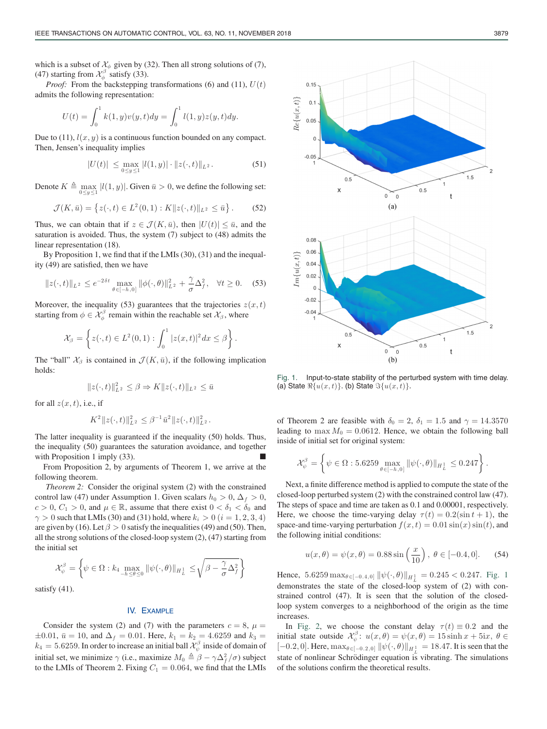*Proof:* From the backstepping transformations (6) and (11),  $U(t)$ admits the following representation:

$$
U(t) = \int_0^1 k(1, y)v(y, t)dy = \int_0^1 l(1, y)z(y, t)dy.
$$

Due to (11),  $l(x, y)$  is a continuous function bounded on any compact. Then, Jensen's inequality implies

$$
|U(t)| \leq \max_{0 \leq y \leq 1} |l(1, y)| \cdot ||z(\cdot, t)||_{L^2}.
$$
 (51)

Denote  $K \triangleq \max_{0 \le y \le 1} |l(1, y)|$ . Given  $\bar{u} > 0$ , we define the following set:

$$
\mathcal{J}(K,\bar{u}) = \{ z(\cdot,t) \in L^2(0,1) : K || z(\cdot,t) ||_{L^2} \leq \bar{u} \}.
$$
 (52)

Thus, we can obtain that if  $z \in \mathcal{J}(K, \bar{u})$ , then  $|U(t)| \leq \bar{u}$ , and the saturation is avoided. Thus, the system (7) subject to (48) admits the linear representation (18).

By Proposition 1, we find that if the LMIs (30), (31) and the inequality (49) are satisfied, then we have

$$
||z(\cdot,t)||_{L^2} \le e^{-2\delta t} \max_{\theta \in [-h,0]} ||\phi(\cdot,\theta)||_{L^2}^2 + \frac{\gamma}{\sigma} \Delta_f^2, \quad \forall t \ge 0.
$$
 (53)

Moreover, the inequality (53) guarantees that the trajectories  $z(x, t)$ starting from  $\phi \in \mathcal{X}_{\phi}^{\beta}$  remain within the reachable set  $\mathcal{X}_{\beta}$ , where

$$
\mathcal{X}_{\beta} = \left\{ z(\cdot,t) \in L^2(0,1) : \int_0^1 |z(x,t)|^2 dx \leq \beta \right\}.
$$

The "ball"  $\mathcal{X}_{\beta}$  is contained in  $\mathcal{J}(K,\bar{u})$ , if the following implication holds:

$$
||z(\cdot,t)||_{L^2}^2 \leq \beta \Rightarrow K||z(\cdot,t)||_{L^2} \leq \bar{u}
$$

for all  $z(x, t)$ , i.e., if

$$
K^2 ||z(\cdot,t)||_{L^2}^2 \leq \beta^{-1} \bar{u}^2 ||z(\cdot,t)||_{L^2}^2.
$$

The latter inequality is guaranteed if the inequality (50) holds. Thus, the inequality (50) guarantees the saturation avoidance, and together with Proposition 1 imply (33).

From Proposition 2, by arguments of Theorem 1, we arrive at the following theorem.

*Theorem 2:* Consider the original system (2) with the constrained control law (47) under Assumption 1. Given scalars  $h_0 > 0$ ,  $\Delta_f > 0$ ,  $c > 0$ ,  $C_1 > 0$ , and  $\mu \in \mathbb{R}$ , assume that there exist  $0 < \delta_1 < \delta_0$  and  $\gamma > 0$  such that LMIs (30) and (31) hold, where  $k_i > 0$  ( $i = 1, 2, 3, 4$ ) are given by (16). Let  $\beta > 0$  satisfy the inequalities (49) and (50). Then, all the strong solutions of the closed-loop system (2), (47) starting from the initial set

$$
\mathcal{X}_{\psi}^{\beta} = \left\{ \psi \in \Omega : k_{4} \max_{-h \leq \theta \leq 0} \|\psi(\cdot,\theta)\|_{H_{L}^{1}} \leq \sqrt{\beta - \frac{\gamma}{\sigma} \Delta_{f}^{2}} \right\}
$$

satisfy (41).

# IV. EXAMPLE

Consider the system (2) and (7) with the parameters  $c = 8$ ,  $\mu =$  $\pm 0.01$ ,  $\bar{u} = 10$ , and  $\Delta_f = 0.01$ . Here,  $k_1 = k_2 = 4.6259$  and  $k_3 =$  $k_4 = 5.6259.$  In order to increase an initial ball  $\mathcal{X}_{\psi}^{\beta}$  inside of domain of initial set, we minimize  $\gamma$  (i.e., maximize  $M_0 \triangleq \beta - \gamma \Delta_f^2 / \sigma$ ) subject to the LMIs of Theorem 2. Fixing  $C_1 = 0.064$ , we find that the LMIs



Fig. 1. Input-to-state stability of the perturbed system with time delay. (a) State  $\mathbb{R}\{u(x,t)\}\)$ . (b) State  $\mathbb{S}\{u(x,t)\}\$ .

of Theorem 2 are feasible with  $\delta_0 = 2$ ,  $\delta_1 = 1.5$  and  $\gamma = 14.3570$ leading to  $\max M_0 = 0.0612$ . Hence, we obtain the following ball inside of initial set for original system:

$$
\mathcal{X}_{\psi}^{\beta} = \left\{ \psi \in \Omega : 5.6259 \max_{\theta \in [-h,0]} \|\psi(\cdot,\theta)\|_{H^1_L} \le 0.247 \right\}.
$$

Next, a finite difference method is applied to compute the state of the closed-loop perturbed system (2) with the constrained control law (47). The steps of space and time are taken as 0.1 and 0.00001, respectively. Here, we choose the time-varying delay  $\tau(t)=0.2(\sin t + 1)$ , the space-and time-varying perturbation  $f(x, t) = 0.01 \sin(x) \sin(t)$ , and the following initial conditions:

$$
u(x, \theta) = \psi(x, \theta) = 0.88 \sin\left(\frac{x}{10}\right), \ \theta \in [-0.4, 0].
$$
 (54)

Hence,  $5.6259 \max_{\theta \in [-0.4,0]} ||\psi(\cdot,\theta)||_{H_L^1} = 0.245 < 0.247$ . Fig. 1 demonstrates the state of the closed-loop system of (2) with constrained control (47). It is seen that the solution of the closedloop system converges to a neighborhood of the origin as the time increases.

In Fig. 2, we choose the constant delay  $\tau(t) \equiv 0.2$  and the initial state outside  $\mathcal{X}_{\psi}^{\beta}$ :  $u(x, \theta) = \psi(x, \theta) = 15 \sinh x + 5ix, \ \theta \in$ [−0.2, 0]. Here,  $\max_{\theta \in [-0.2, 0]} ||\psi(\cdot, \theta)||_{H^1_L} = 18.47$ . It is seen that the state of nonlinear Schrödinger equation is vibrating. The simulations of the solutions confirm the theoretical results.